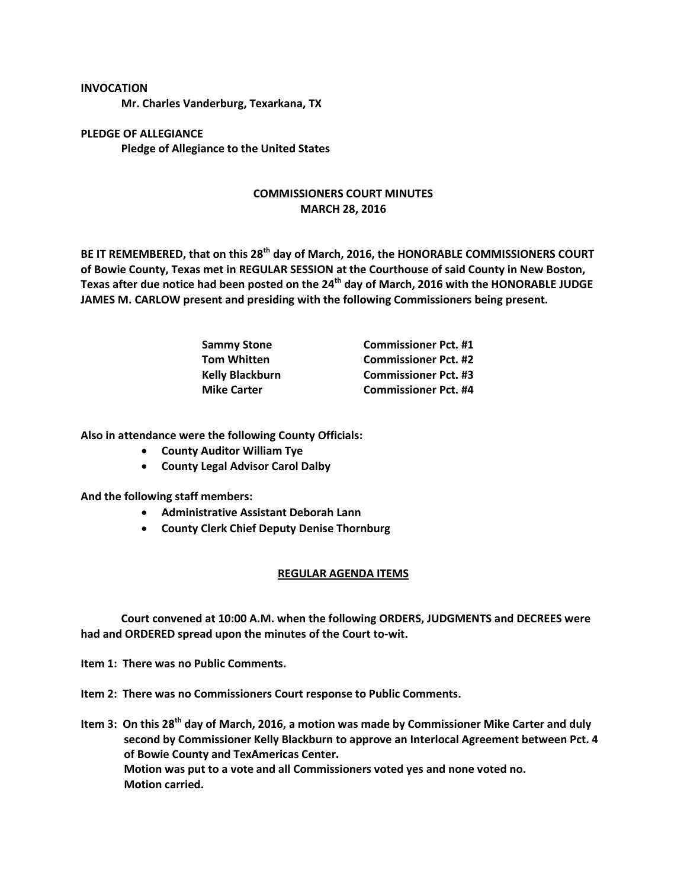## **INVOCATION**

**Mr. Charles Vanderburg, Texarkana, TX**

**PLEDGE OF ALLEGIANCE Pledge of Allegiance to the United States**

## **COMMISSIONERS COURT MINUTES MARCH 28, 2016**

**BE IT REMEMBERED, that on this 28th day of March, 2016, the HONORABLE COMMISSIONERS COURT of Bowie County, Texas met in REGULAR SESSION at the Courthouse of said County in New Boston, Texas after due notice had been posted on the 24th day of March, 2016 with the HONORABLE JUDGE JAMES M. CARLOW present and presiding with the following Commissioners being present.**

| <b>Sammy Stone</b>     | <b>Commissioner Pct. #1</b> |
|------------------------|-----------------------------|
| <b>Tom Whitten</b>     | <b>Commissioner Pct. #2</b> |
| <b>Kelly Blackburn</b> | <b>Commissioner Pct. #3</b> |
| <b>Mike Carter</b>     | <b>Commissioner Pct. #4</b> |

**Also in attendance were the following County Officials:**

- **County Auditor William Tye**
- **County Legal Advisor Carol Dalby**

**And the following staff members:**

- **Administrative Assistant Deborah Lann**
- **County Clerk Chief Deputy Denise Thornburg**

## **REGULAR AGENDA ITEMS**

**Court convened at 10:00 A.M. when the following ORDERS, JUDGMENTS and DECREES were had and ORDERED spread upon the minutes of the Court to-wit.**

**Item 1: There was no Public Comments.**

**Item 2: There was no Commissioners Court response to Public Comments.**

**Item 3: On this 28th day of March, 2016, a motion was made by Commissioner Mike Carter and duly second by Commissioner Kelly Blackburn to approve an Interlocal Agreement between Pct. 4 of Bowie County and TexAmericas Center. Motion was put to a vote and all Commissioners voted yes and none voted no. Motion carried.**